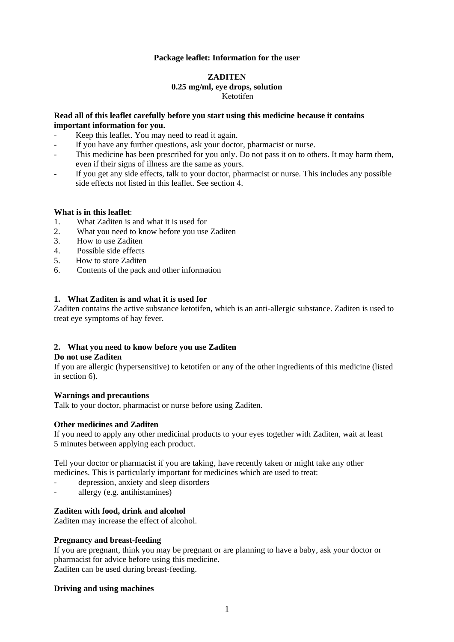## **Package leaflet: Information for the user**

### **ZADITEN 0.25 mg/ml, eye drops, solution** Ketotifen

### **Read all of this leaflet carefully before you start using this medicine because it contains important information for you.**

- Keep this leaflet. You may need to read it again.
- If you have any further questions, ask your doctor, pharmacist or nurse.
- This medicine has been prescribed for you only. Do not pass it on to others. It may harm them, even if their signs of illness are the same as yours.
- If you get any side effects, talk to your doctor, pharmacist or nurse. This includes any possible side effects not listed in this leaflet. See section 4.

### **What is in this leaflet**:

- 1. What Zaditen is and what it is used for
- 2. What you need to know before you use Zaditen
- 3. How to use Zaditen
- 4. Possible side effects
- 5. How to store Zaditen
- 6. Contents of the pack and other information

# **1. What Zaditen is and what it is used for**

Zaditen contains the active substance ketotifen, which is an anti-allergic substance. Zaditen is used to treat eye symptoms of hay fever.

### **2. What you need to know before you use Zaditen**

## **Do not use Zaditen**

If you are allergic (hypersensitive) to ketotifen or any of the other ingredients of this medicine (listed in section 6).

### **Warnings and precautions**

Talk to your doctor, pharmacist or nurse before using Zaditen.

### **Other medicines and Zaditen**

If you need to apply any other medicinal products to your eyes together with Zaditen, wait at least 5 minutes between applying each product.

Tell your doctor or pharmacist if you are taking, have recently taken or might take any other medicines. This is particularly important for medicines which are used to treat:

- depression, anxiety and sleep disorders
- allergy (e.g. antihistamines)

# **Zaditen with food, drink and alcohol**

Zaditen may increase the effect of alcohol.

### **Pregnancy and breast-feeding**

If you are pregnant, think you may be pregnant or are planning to have a baby, ask your doctor or pharmacist for advice before using this medicine. Zaditen can be used during breast-feeding.

### **Driving and using machines**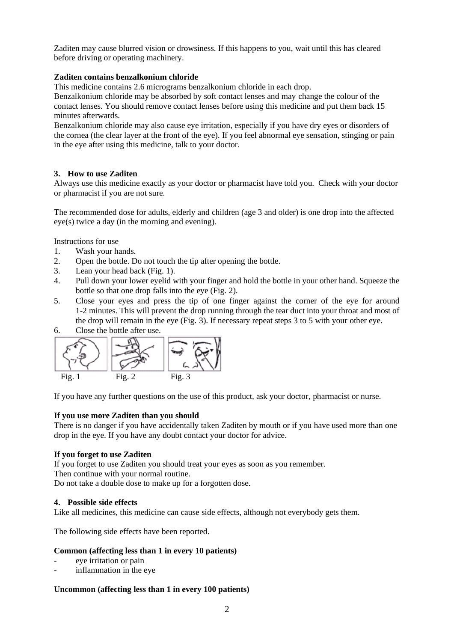Zaditen may cause blurred vision or drowsiness. If this happens to you, wait until this has cleared before driving or operating machinery.

# **Zaditen contains benzalkonium chloride**

This medicine contains 2.6 micrograms benzalkonium chloride in each drop.

Benzalkonium chloride may be absorbed by soft contact lenses and may change the colour of the contact lenses. You should remove contact lenses before using this medicine and put them back 15 minutes afterwards.

Benzalkonium chloride may also cause eye irritation, especially if you have dry eyes or disorders of the cornea (the clear layer at the front of the eye). If you feel abnormal eye sensation, stinging or pain in the eye after using this medicine, talk to your doctor.

# **3. How to use Zaditen**

Always use this medicine exactly as your doctor or pharmacist have told you. Check with your doctor or pharmacist if you are not sure.

The recommended dose for adults, elderly and children (age 3 and older) is one drop into the affected eye(s) twice a day (in the morning and evening).

Instructions for use

- 1. Wash your hands.
- 2. Open the bottle. Do not touch the tip after opening the bottle.
- 3. Lean your head back (Fig. 1).
- 4. Pull down your lower eyelid with your finger and hold the bottle in your other hand. Squeeze the bottle so that one drop falls into the eye (Fig. 2).
- 5. Close your eyes and press the tip of one finger against the corner of the eye for around 1-2 minutes. This will prevent the drop running through the tear duct into your throat and most of the drop will remain in the eye (Fig. 3). If necessary repeat steps 3 to 5 with your other eye.
- 6. Close the bottle after use.



If you have any further questions on the use of this product, ask your doctor, pharmacist or nurse.

### **If you use more Zaditen than you should**

There is no danger if you have accidentally taken Zaditen by mouth or if you have used more than one drop in the eye. If you have any doubt contact your doctor for advice.

### **If you forget to use Zaditen**

If you forget to use Zaditen you should treat your eyes as soon as you remember.

Then continue with your normal routine.

Do not take a double dose to make up for a forgotten dose.

### **4. Possible side effects**

Like all medicines, this medicine can cause side effects, although not everybody gets them.

The following side effects have been reported.

### **Common (affecting less than 1 in every 10 patients)**

- eve irritation or pain
- inflammation in the eye

## **Uncommon (affecting less than 1 in every 100 patients)**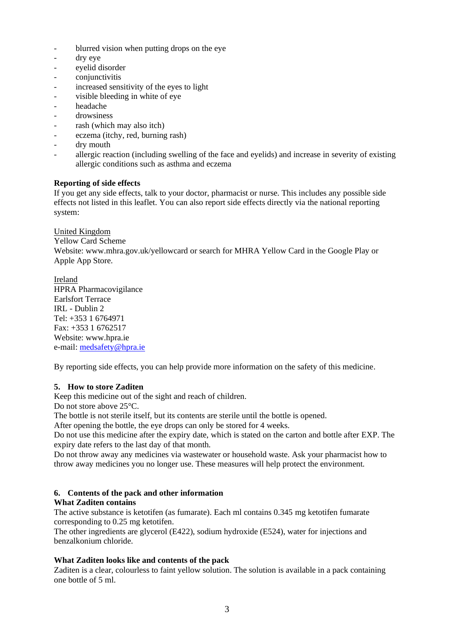- blurred vision when putting drops on the eye
- dry eye
- eyelid disorder
- conjunctivitis
- increased sensitivity of the eyes to light
- visible bleeding in white of eye
- headache
- drowsiness
- rash (which may also itch)
- eczema (itchy, red, burning rash)
- dry mouth
- allergic reaction (including swelling of the face and eyelids) and increase in severity of existing allergic conditions such as asthma and eczema

# **Reporting of side effects**

If you get any side effects, talk to your doctor, pharmacist or nurse. This includes any possible side effects not listed in this leaflet. You can also report side effects directly via the national reporting system:

United Kingdom Yellow Card Scheme Website: www.mhra.gov.uk/yellowcard or search for MHRA Yellow Card in the Google Play or Apple App Store.

Ireland HPRA Pharmacovigilance Earlsfort Terrace IRL - Dublin 2 Tel: +353 1 6764971 Fax: +353 1 6762517 Website: www.hpra.ie e-mail: [medsafety@hpra.ie](mailto:medsafety@hpra.ie)

By reporting side effects, you can help provide more information on the safety of this medicine.

### **5. How to store Zaditen**

Keep this medicine out of the sight and reach of children.

Do not store above 25<sup>o</sup>C.

The bottle is not sterile itself, but its contents are sterile until the bottle is opened.

After opening the bottle, the eye drops can only be stored for 4 weeks.

Do not use this medicine after the expiry date, which is stated on the carton and bottle after EXP. The expiry date refers to the last day of that month.

Do not throw away any medicines via wastewater or household waste. Ask your pharmacist how to throw away medicines you no longer use. These measures will help protect the environment.

# **6. Contents of the pack and other information**

### **What Zaditen contains**

The active substance is ketotifen (as fumarate). Each ml contains 0.345 mg ketotifen fumarate corresponding to 0.25 mg ketotifen.

The other ingredients are glycerol (E422), sodium hydroxide (E524), water for injections and benzalkonium chloride.

### **What Zaditen looks like and contents of the pack**

Zaditen is a clear, colourless to faint yellow solution. The solution is available in a pack containing one bottle of 5 ml.